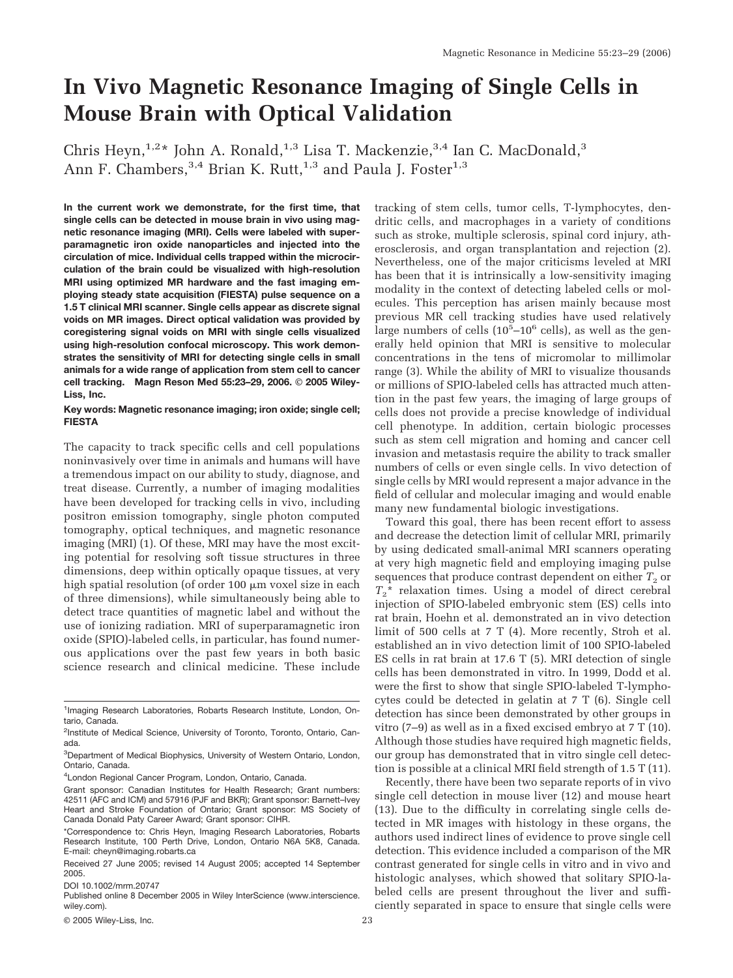# **In Vivo Magnetic Resonance Imaging of Single Cells in Mouse Brain with Optical Validation**

Chris Heyn,<sup>1,2</sup>\* John A. Ronald,<sup>1,3</sup> Lisa T. Mackenzie,<sup>3,4</sup> Ian C. MacDonald,<sup>3</sup> Ann F. Chambers,  $3,4$  Brian K. Rutt,  $1,3$  and Paula J. Foster $1,3$ 

**In the current work we demonstrate, for the first time, that single cells can be detected in mouse brain in vivo using magnetic resonance imaging (MRI). Cells were labeled with superparamagnetic iron oxide nanoparticles and injected into the circulation of mice. Individual cells trapped within the microcirculation of the brain could be visualized with high-resolution MRI using optimized MR hardware and the fast imaging employing steady state acquisition (FIESTA) pulse sequence on a 1.5 T clinical MRI scanner. Single cells appear as discrete signal voids on MR images. Direct optical validation was provided by coregistering signal voids on MRI with single cells visualized using high-resolution confocal microscopy. This work demonstrates the sensitivity of MRI for detecting single cells in small animals for a wide range of application from stem cell to cancer cell tracking. Magn Reson Med 55:23–29, 2006. © 2005 Wiley-Liss, Inc.**

### **Key words: Magnetic resonance imaging; iron oxide; single cell; FIESTA**

The capacity to track specific cells and cell populations noninvasively over time in animals and humans will have a tremendous impact on our ability to study, diagnose, and treat disease. Currently, a number of imaging modalities have been developed for tracking cells in vivo, including positron emission tomography, single photon computed tomography, optical techniques, and magnetic resonance imaging (MRI) (1). Of these, MRI may have the most exciting potential for resolving soft tissue structures in three dimensions, deep within optically opaque tissues, at very high spatial resolution (of order 100  $\mu$ m voxel size in each of three dimensions), while simultaneously being able to detect trace quantities of magnetic label and without the use of ionizing radiation. MRI of superparamagnetic iron oxide (SPIO)-labeled cells, in particular, has found numerous applications over the past few years in both basic science research and clinical medicine. These include tracking of stem cells, tumor cells, T-lymphocytes, dendritic cells, and macrophages in a variety of conditions such as stroke, multiple sclerosis, spinal cord injury, atherosclerosis, and organ transplantation and rejection (2). Nevertheless, one of the major criticisms leveled at MRI has been that it is intrinsically a low-sensitivity imaging modality in the context of detecting labeled cells or molecules. This perception has arisen mainly because most previous MR cell tracking studies have used relatively large numbers of cells  $(10^5-10^6 \text{ cells})$ , as well as the generally held opinion that MRI is sensitive to molecular concentrations in the tens of micromolar to millimolar range (3). While the ability of MRI to visualize thousands or millions of SPIO-labeled cells has attracted much attention in the past few years, the imaging of large groups of cells does not provide a precise knowledge of individual cell phenotype. In addition, certain biologic processes such as stem cell migration and homing and cancer cell invasion and metastasis require the ability to track smaller numbers of cells or even single cells. In vivo detection of single cells by MRI would represent a major advance in the field of cellular and molecular imaging and would enable many new fundamental biologic investigations.

Toward this goal, there has been recent effort to assess and decrease the detection limit of cellular MRI, primarily by using dedicated small-animal MRI scanners operating at very high magnetic field and employing imaging pulse sequences that produce contrast dependent on either  $T_2$  or  $T_2^*$  relaxation times. Using a model of direct cerebral injection of SPIO-labeled embryonic stem (ES) cells into rat brain, Hoehn et al. demonstrated an in vivo detection limit of 500 cells at 7 T (4). More recently, Stroh et al. established an in vivo detection limit of 100 SPIO-labeled ES cells in rat brain at 17.6 T (5). MRI detection of single cells has been demonstrated in vitro. In 1999*,* Dodd et al. were the first to show that single SPIO-labeled T-lymphocytes could be detected in gelatin at 7 T (6). Single cell detection has since been demonstrated by other groups in vitro (7–9) as well as in a fixed excised embryo at 7 T (10). Although those studies have required high magnetic fields, our group has demonstrated that in vitro single cell detection is possible at a clinical MRI field strength of 1.5 T (11).

Recently, there have been two separate reports of in vivo single cell detection in mouse liver (12) and mouse heart (13). Due to the difficulty in correlating single cells detected in MR images with histology in these organs, the authors used indirect lines of evidence to prove single cell detection. This evidence included a comparison of the MR contrast generated for single cells in vitro and in vivo and histologic analyses, which showed that solitary SPIO-labeled cells are present throughout the liver and sufficiently separated in space to ensure that single cells were

<sup>&</sup>lt;sup>1</sup>Imaging Research Laboratories, Robarts Research Institute, London, Ontario, Canada.

<sup>&</sup>lt;sup>2</sup>Institute of Medical Science, University of Toronto, Toronto, Ontario, Canada.

<sup>&</sup>lt;sup>3</sup>Department of Medical Biophysics, University of Western Ontario, London, Ontario, Canada.

<sup>4</sup> London Regional Cancer Program, London, Ontario, Canada.

Grant sponsor: Canadian Institutes for Health Research; Grant numbers: 42511 (AFC and ICM) and 57916 (PJF and BKR); Grant sponsor: Barnett–Ivey Heart and Stroke Foundation of Ontario; Grant sponsor: MS Society of Canada Donald Paty Career Award; Grant sponsor: CIHR.

<sup>\*</sup>Correspondence to: Chris Heyn, Imaging Research Laboratories, Robarts Research Institute, 100 Perth Drive, London, Ontario N6A 5K8, Canada. E-mail: cheyn@imaging.robarts.ca

Received 27 June 2005; revised 14 August 2005; accepted 14 September 2005.

DOI 10.1002/mrm.20747

Published online 8 December 2005 in Wiley InterScience (www.interscience. wiley.com).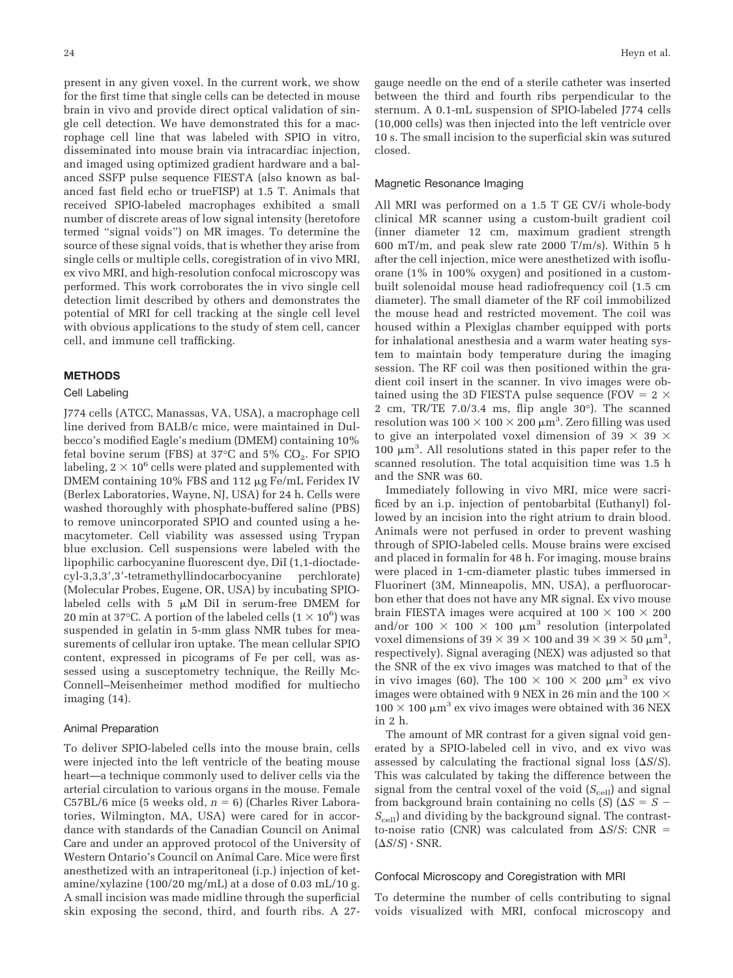present in any given voxel. In the current work, we show for the first time that single cells can be detected in mouse brain in vivo and provide direct optical validation of single cell detection. We have demonstrated this for a macrophage cell line that was labeled with SPIO in vitro, disseminated into mouse brain via intracardiac injection, and imaged using optimized gradient hardware and a balanced SSFP pulse sequence FIESTA (also known as balanced fast field echo or trueFISP) at 1.5 T. Animals that received SPIO-labeled macrophages exhibited a small number of discrete areas of low signal intensity (heretofore termed "signal voids") on MR images. To determine the source of these signal voids, that is whether they arise from single cells or multiple cells, coregistration of in vivo MRI, ex vivo MRI, and high-resolution confocal microscopy was performed. This work corroborates the in vivo single cell detection limit described by others and demonstrates the potential of MRI for cell tracking at the single cell level with obvious applications to the study of stem cell, cancer cell, and immune cell trafficking.

# **METHODS**

## Cell Labeling

J774 cells (ATCC, Manassas, VA, USA), a macrophage cell line derived from BALB/c mice, were maintained in Dulbecco's modified Eagle's medium (DMEM) containing 10% fetal bovine serum (FBS) at  $37^{\circ}$ C and  $5\%$  CO<sub>2</sub>. For SPIO labeling,  $2 \times 10^6$  cells were plated and supplemented with DMEM containing  $10\%$  FBS and  $112 \mu$ g Fe/mL Feridex IV (Berlex Laboratories, Wayne, NJ, USA) for 24 h. Cells were washed thoroughly with phosphate-buffered saline (PBS) to remove unincorporated SPIO and counted using a hemacytometer. Cell viability was assessed using Trypan blue exclusion. Cell suspensions were labeled with the lipophilic carbocyanine fluorescent dye, DiI (1,1-dioctadecyl-3,3,3,3-tetramethyllindocarbocyanine perchlorate) (Molecular Probes, Eugene, OR, USA) by incubating SPIOlabeled cells with  $5 \mu M$  DiI in serum-free DMEM for 20 min at 37°C. A portion of the labeled cells  $(1 \times 10^6)$  was suspended in gelatin in 5-mm glass NMR tubes for measurements of cellular iron uptake. The mean cellular SPIO content, expressed in picograms of Fe per cell, was assessed using a susceptometry technique, the Reilly Mc-Connell–Meisenheimer method modified for multiecho imaging (14).

#### Animal Preparation

To deliver SPIO-labeled cells into the mouse brain, cells were injected into the left ventricle of the beating mouse heart—a technique commonly used to deliver cells via the arterial circulation to various organs in the mouse. Female C57BL/6 mice (5 weeks old,  $n = 6$ ) (Charles River Laboratories, Wilmington, MA, USA) were cared for in accordance with standards of the Canadian Council on Animal Care and under an approved protocol of the University of Western Ontario's Council on Animal Care. Mice were first anesthetized with an intraperitoneal (i.p.) injection of ketamine/xylazine (100/20 mg/mL) at a dose of 0.03 mL/10 g. A small incision was made midline through the superficial skin exposing the second, third, and fourth ribs. A 27gauge needle on the end of a sterile catheter was inserted between the third and fourth ribs perpendicular to the sternum. A 0.1-mL suspension of SPIO-labeled J774 cells (10,000 cells) was then injected into the left ventricle over 10 s. The small incision to the superficial skin was sutured closed.

## Magnetic Resonance Imaging

All MRI was performed on a 1.5 T GE CV/i whole-body clinical MR scanner using a custom-built gradient coil (inner diameter 12 cm, maximum gradient strength 600 mT/m, and peak slew rate 2000 T/m/s). Within 5 h after the cell injection, mice were anesthetized with isofluorane (1% in 100% oxygen) and positioned in a custombuilt solenoidal mouse head radiofrequency coil (1.5 cm diameter). The small diameter of the RF coil immobilized the mouse head and restricted movement. The coil was housed within a Plexiglas chamber equipped with ports for inhalational anesthesia and a warm water heating system to maintain body temperature during the imaging session. The RF coil was then positioned within the gradient coil insert in the scanner. In vivo images were obtained using the 3D FIESTA pulse sequence (FOV =  $2 \times$ 2 cm, TR/TE 7.0/3.4 ms, flip angle 30°). The scanned resolution was 100  $\times$  100  $\times$  200  $\mu\text{m}^3$ . Zero filling was used to give an interpolated voxel dimension of 39  $\times$  39  $\times$ 100  $\mu$ m<sup>3</sup>. All resolutions stated in this paper refer to the scanned resolution. The total acquisition time was 1.5 h and the SNR was 60.

Immediately following in vivo MRI, mice were sacrificed by an i.p. injection of pentobarbital (Euthanyl) followed by an incision into the right atrium to drain blood. Animals were not perfused in order to prevent washing through of SPIO-labeled cells. Mouse brains were excised and placed in formalin for 48 h. For imaging, mouse brains were placed in 1-cm-diameter plastic tubes immersed in Fluorinert (3M, Minneapolis, MN, USA), a perfluorocarbon ether that does not have any MR signal. Ex vivo mouse brain FIESTA images were acquired at 100  $\times$  100  $\times$  200 and/or 100  $\times$  100  $\times$  100  $\mu$ m<sup>3</sup> resolution (interpolated voxel dimensions of 39  $\times$  39  $\times$  100 and 39  $\times$  39  $\times$  50  $\mu$ m<sup>3</sup>, respectively). Signal averaging (NEX) was adjusted so that the SNR of the ex vivo images was matched to that of the in vivo images (60). The  $100 \times 100 \times 200 \mu m^3$  ex vivo images were obtained with 9 NEX in 26 min and the 100  $\times$  $100 \times 100 \mu m^3$  ex vivo images were obtained with 36 NEX in 2 h.

The amount of MR contrast for a given signal void generated by a SPIO-labeled cell in vivo, and ex vivo was assessed by calculating the fractional signal loss  $(\Delta S/S)$ . This was calculated by taking the difference between the signal from the central voxel of the void  $(S_{\text{cell}})$  and signal from background brain containing no cells (*S*) ( $\Delta S = S$  –  $S_{\text{cell}}$ ) and dividing by the background signal. The contrastto-noise ratio (CNR) was calculated from  $\Delta S/S$ : CNR =  $(\Delta S/S) \cdot SNR$ .

#### Confocal Microscopy and Coregistration with MRI

To determine the number of cells contributing to signal voids visualized with MRI, confocal microscopy and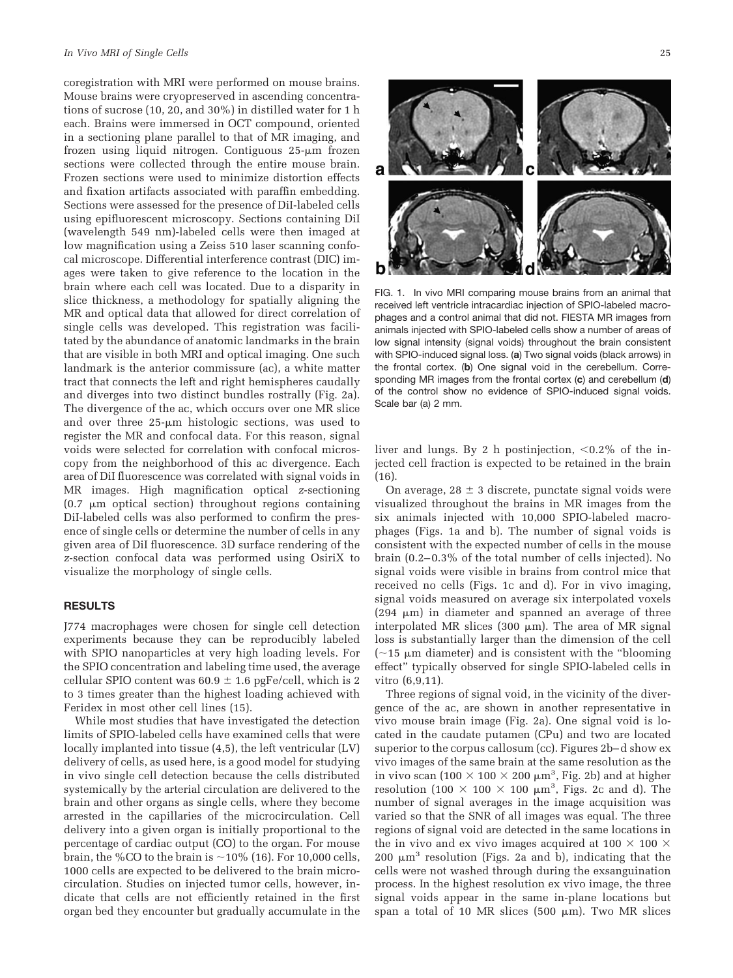coregistration with MRI were performed on mouse brains. Mouse brains were cryopreserved in ascending concentrations of sucrose (10, 20, and 30%) in distilled water for 1 h each. Brains were immersed in OCT compound, oriented in a sectioning plane parallel to that of MR imaging, and frozen using liquid nitrogen. Contiguous  $25-\mu m$  frozen sections were collected through the entire mouse brain. Frozen sections were used to minimize distortion effects and fixation artifacts associated with paraffin embedding. Sections were assessed for the presence of DiI-labeled cells using epifluorescent microscopy. Sections containing DiI (wavelength 549 nm)-labeled cells were then imaged at low magnification using a Zeiss 510 laser scanning confocal microscope. Differential interference contrast (DIC) images were taken to give reference to the location in the brain where each cell was located. Due to a disparity in slice thickness, a methodology for spatially aligning the MR and optical data that allowed for direct correlation of single cells was developed. This registration was facilitated by the abundance of anatomic landmarks in the brain that are visible in both MRI and optical imaging. One such landmark is the anterior commissure (ac), a white matter tract that connects the left and right hemispheres caudally and diverges into two distinct bundles rostrally (Fig. 2a). The divergence of the ac, which occurs over one MR slice and over three 25-µm histologic sections, was used to register the MR and confocal data. For this reason, signal voids were selected for correlation with confocal microscopy from the neighborhood of this ac divergence. Each area of DiI fluorescence was correlated with signal voids in MR images. High magnification optical *z*-sectioning  $(0.7 \mu m)$  optical section) throughout regions containing DiI-labeled cells was also performed to confirm the presence of single cells or determine the number of cells in any given area of DiI fluorescence. 3D surface rendering of the *z*-section confocal data was performed using OsiriX to visualize the morphology of single cells.

# **RESULTS**

J774 macrophages were chosen for single cell detection experiments because they can be reproducibly labeled with SPIO nanoparticles at very high loading levels. For the SPIO concentration and labeling time used, the average cellular SPIO content was  $60.9 \pm 1.6$  pgFe/cell, which is 2 to 3 times greater than the highest loading achieved with Feridex in most other cell lines (15).

While most studies that have investigated the detection limits of SPIO-labeled cells have examined cells that were locally implanted into tissue (4,5), the left ventricular (LV) delivery of cells, as used here, is a good model for studying in vivo single cell detection because the cells distributed systemically by the arterial circulation are delivered to the brain and other organs as single cells, where they become arrested in the capillaries of the microcirculation. Cell delivery into a given organ is initially proportional to the percentage of cardiac output (CO) to the organ. For mouse brain, the %CO to the brain is  $\sim$ 10% (16). For 10,000 cells, 1000 cells are expected to be delivered to the brain microcirculation. Studies on injected tumor cells, however, indicate that cells are not efficiently retained in the first organ bed they encounter but gradually accumulate in the



FIG. 1. In vivo MRI comparing mouse brains from an animal that received left ventricle intracardiac injection of SPIO-labeled macrophages and a control animal that did not. FIESTA MR images from animals injected with SPIO-labeled cells show a number of areas of low signal intensity (signal voids) throughout the brain consistent with SPIO-induced signal loss. (**a**) Two signal voids (black arrows) in the frontal cortex. (**b**) One signal void in the cerebellum. Corresponding MR images from the frontal cortex (**c**) and cerebellum (**d**) of the control show no evidence of SPIO-induced signal voids. Scale bar (a) 2 mm.

liver and lungs. By 2 h postinjection,  $\langle 0.2\%$  of the injected cell fraction is expected to be retained in the brain (16).

On average,  $28 \pm 3$  discrete, punctate signal voids were visualized throughout the brains in MR images from the six animals injected with 10,000 SPIO-labeled macrophages (Figs. 1a and b). The number of signal voids is consistent with the expected number of cells in the mouse brain (0.2– 0.3% of the total number of cells injected). No signal voids were visible in brains from control mice that received no cells (Figs. 1c and d). For in vivo imaging, signal voids measured on average six interpolated voxels (294  $\mu$ m) in diameter and spanned an average of three interpolated MR slices (300  $\mu$ m). The area of MR signal loss is substantially larger than the dimension of the cell ( $\sim$ 15 µm diameter) and is consistent with the "blooming" effect" typically observed for single SPIO-labeled cells in vitro (6,9,11).

Three regions of signal void, in the vicinity of the divergence of the ac, are shown in another representative in vivo mouse brain image (Fig. 2a). One signal void is located in the caudate putamen (CPu) and two are located superior to the corpus callosum (cc). Figures 2b–d show ex vivo images of the same brain at the same resolution as the in vivo scan (100  $\times$  100  $\times$  200  $\mu$ m<sup>3</sup>, Fig. 2b) and at higher resolution (100  $\times$  100  $\times$  100  $\mu$ m<sup>3</sup>, Figs. 2c and d). The number of signal averages in the image acquisition was varied so that the SNR of all images was equal. The three regions of signal void are detected in the same locations in the in vivo and ex vivo images acquired at 100  $\times$  100  $\times$ 200  $\mu$ m<sup>3</sup> resolution (Figs. 2a and b), indicating that the cells were not washed through during the exsanguination process. In the highest resolution ex vivo image, the three signal voids appear in the same in-plane locations but span a total of 10 MR slices (500  $\mu$ m). Two MR slices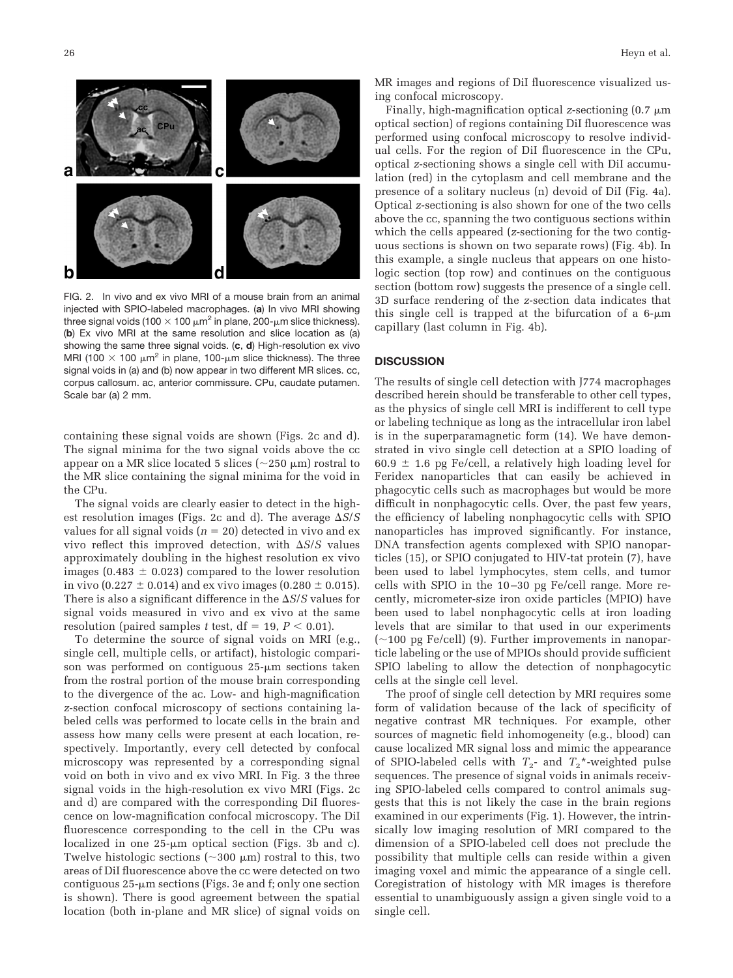

FIG. 2. In vivo and ex vivo MRI of a mouse brain from an animal injected with SPIO-labeled macrophages. (**a**) In vivo MRI showing three signal voids (100  $\times$  100  $\mu$ m<sup>2</sup> in plane, 200- $\mu$ m slice thickness). (**b**) Ex vivo MRI at the same resolution and slice location as (a) showing the same three signal voids. (**c**, **d**) High-resolution ex vivo MRI (100  $\times$  100  $\mu$ m<sup>2</sup> in plane, 100- $\mu$ m slice thickness). The three signal voids in (a) and (b) now appear in two different MR slices. cc, corpus callosum. ac, anterior commissure. CPu, caudate putamen. Scale bar (a) 2 mm.

containing these signal voids are shown (Figs. 2c and d). The signal minima for the two signal voids above the cc appear on a MR slice located 5 slices ( $\sim$ 250  $\mu$ m) rostral to the MR slice containing the signal minima for the void in the CPu.

The signal voids are clearly easier to detect in the highest resolution images (Figs. 2c and d). The average  $\Delta S/S$ values for all signal voids  $(n = 20)$  detected in vivo and ex vivo reflect this improved detection, with *S*/*S* values approximately doubling in the highest resolution ex vivo images (0.483  $\pm$  0.023) compared to the lower resolution in vivo (0.227  $\pm$  0.014) and ex vivo images (0.280  $\pm$  0.015). There is also a significant difference in the  $\Delta S/S$  values for signal voids measured in vivo and ex vivo at the same resolution (paired samples *t* test,  $df = 19, P < 0.01$ ).

To determine the source of signal voids on MRI (e.g., single cell, multiple cells, or artifact), histologic comparison was performed on contiguous  $25-\mu m$  sections taken from the rostral portion of the mouse brain corresponding to the divergence of the ac. Low- and high-magnification *z*-section confocal microscopy of sections containing labeled cells was performed to locate cells in the brain and assess how many cells were present at each location, respectively. Importantly, every cell detected by confocal microscopy was represented by a corresponding signal void on both in vivo and ex vivo MRI. In Fig. 3 the three signal voids in the high-resolution ex vivo MRI (Figs. 2c and d) are compared with the corresponding DiI fluorescence on low-magnification confocal microscopy. The DiI fluorescence corresponding to the cell in the CPu was localized in one  $25-\mu m$  optical section (Figs. 3b and c). Twelve histologic sections ( $\sim$ 300  $\mu$ m) rostral to this, two areas of DiI fluorescence above the cc were detected on two contiguous  $25-\mu m$  sections (Figs. 3e and f; only one section is shown). There is good agreement between the spatial location (both in-plane and MR slice) of signal voids on MR images and regions of DiI fluorescence visualized using confocal microscopy.

Finally, high-magnification optical *z*-sectioning (0.7 μm) optical section) of regions containing DiI fluorescence was performed using confocal microscopy to resolve individual cells. For the region of DiI fluorescence in the CPu, optical *z*-sectioning shows a single cell with DiI accumulation (red) in the cytoplasm and cell membrane and the presence of a solitary nucleus (n) devoid of DiI (Fig. 4a). Optical *z*-sectioning is also shown for one of the two cells above the cc, spanning the two contiguous sections within which the cells appeared (*z*-sectioning for the two contiguous sections is shown on two separate rows) (Fig. 4b). In this example, a single nucleus that appears on one histologic section (top row) and continues on the contiguous section (bottom row) suggests the presence of a single cell. 3D surface rendering of the *z*-section data indicates that this single cell is trapped at the bifurcation of a  $6-\mu m$ capillary (last column in Fig. 4b).

## **DISCUSSION**

The results of single cell detection with J774 macrophages described herein should be transferable to other cell types, as the physics of single cell MRI is indifferent to cell type or labeling technique as long as the intracellular iron label is in the superparamagnetic form (14). We have demonstrated in vivo single cell detection at a SPIO loading of 60.9  $\pm$  1.6 pg Fe/cell, a relatively high loading level for Feridex nanoparticles that can easily be achieved in phagocytic cells such as macrophages but would be more difficult in nonphagocytic cells. Over, the past few years, the efficiency of labeling nonphagocytic cells with SPIO nanoparticles has improved significantly. For instance, DNA transfection agents complexed with SPIO nanoparticles (15), or SPIO conjugated to HIV-tat protein (7), have been used to label lymphocytes, stem cells, and tumor cells with SPIO in the 10 –30 pg Fe/cell range. More recently, micrometer-size iron oxide particles (MPIO) have been used to label nonphagocytic cells at iron loading levels that are similar to that used in our experiments  $\sim$ 100 pg Fe/cell) (9). Further improvements in nanoparticle labeling or the use of MPIOs should provide sufficient SPIO labeling to allow the detection of nonphagocytic cells at the single cell level.

The proof of single cell detection by MRI requires some form of validation because of the lack of specificity of negative contrast MR techniques. For example, other sources of magnetic field inhomogeneity (e.g., blood) can cause localized MR signal loss and mimic the appearance of SPIO-labeled cells with  $T_2$ - and  $T_2^*$ -weighted pulse sequences. The presence of signal voids in animals receiving SPIO-labeled cells compared to control animals suggests that this is not likely the case in the brain regions examined in our experiments (Fig. 1). However, the intrinsically low imaging resolution of MRI compared to the dimension of a SPIO-labeled cell does not preclude the possibility that multiple cells can reside within a given imaging voxel and mimic the appearance of a single cell. Coregistration of histology with MR images is therefore essential to unambiguously assign a given single void to a single cell.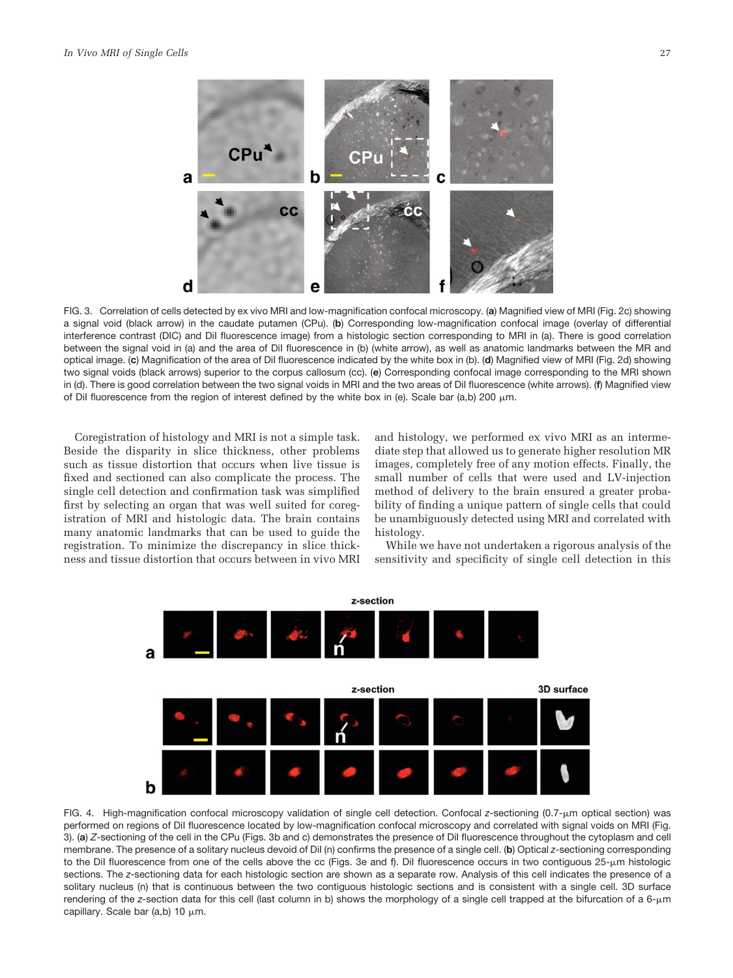

FIG. 3. Correlation of cells detected by ex vivo MRI and low-magnification confocal microscopy. (**a**) Magnified view of MRI (Fig. 2c) showing a signal void (black arrow) in the caudate putamen (CPu). (**b**) Corresponding low-magnification confocal image (overlay of differential interference contrast (DIC) and DiI fluorescence image) from a histologic section corresponding to MRI in (a). There is good correlation between the signal void in (a) and the area of DiI fluorescence in (b) (white arrow), as well as anatomic landmarks between the MR and optical image. (**c**) Magnification of the area of DiI fluorescence indicated by the white box in (b). (**d**) Magnified view of MRI (Fig. 2d) showing two signal voids (black arrows) superior to the corpus callosum (cc). (**e**) Corresponding confocal image corresponding to the MRI shown in (d). There is good correlation between the two signal voids in MRI and the two areas of DiI fluorescence (white arrows). (**f**) Magnified view of Dil fluorescence from the region of interest defined by the white box in (e). Scale bar (a,b) 200  $\mu$ m.

Coregistration of histology and MRI is not a simple task. Beside the disparity in slice thickness, other problems such as tissue distortion that occurs when live tissue is fixed and sectioned can also complicate the process. The single cell detection and confirmation task was simplified first by selecting an organ that was well suited for coregistration of MRI and histologic data. The brain contains many anatomic landmarks that can be used to guide the registration. To minimize the discrepancy in slice thickness and tissue distortion that occurs between in vivo MRI and histology, we performed ex vivo MRI as an intermediate step that allowed us to generate higher resolution MR images, completely free of any motion effects. Finally, the small number of cells that were used and LV-injection method of delivery to the brain ensured a greater probability of finding a unique pattern of single cells that could be unambiguously detected using MRI and correlated with histology.

While we have not undertaken a rigorous analysis of the sensitivity and specificity of single cell detection in this



FIG. 4. High-magnification confocal microscopy validation of single cell detection. Confocal *z*-sectioning (0.7-um optical section) was performed on regions of Dil fluorescence located by low-magnification confocal microscopy and correlated with signal voids on MRI (Fig. 3). (**a**) *Z*-sectioning of the cell in the CPu (Figs. 3b and c) demonstrates the presence of DiI fluorescence throughout the cytoplasm and cell membrane. The presence of a solitary nucleus devoid of DiI (n) confirms the presence of a single cell. (**b**) Optical *z*-sectioning corresponding to the Dil fluorescence from one of the cells above the cc (Figs. 3e and f). Dil fluorescence occurs in two contiguous 25-µm histologic sections. The *z*-sectioning data for each histologic section are shown as a separate row. Analysis of this cell indicates the presence of a solitary nucleus (n) that is continuous between the two contiguous histologic sections and is consistent with a single cell. 3D surface rendering of the *z*-section data for this cell (last column in b) shows the morphology of a single cell trapped at the bifurcation of a 6-um capillary. Scale bar (a,b) 10  $\mu$ m.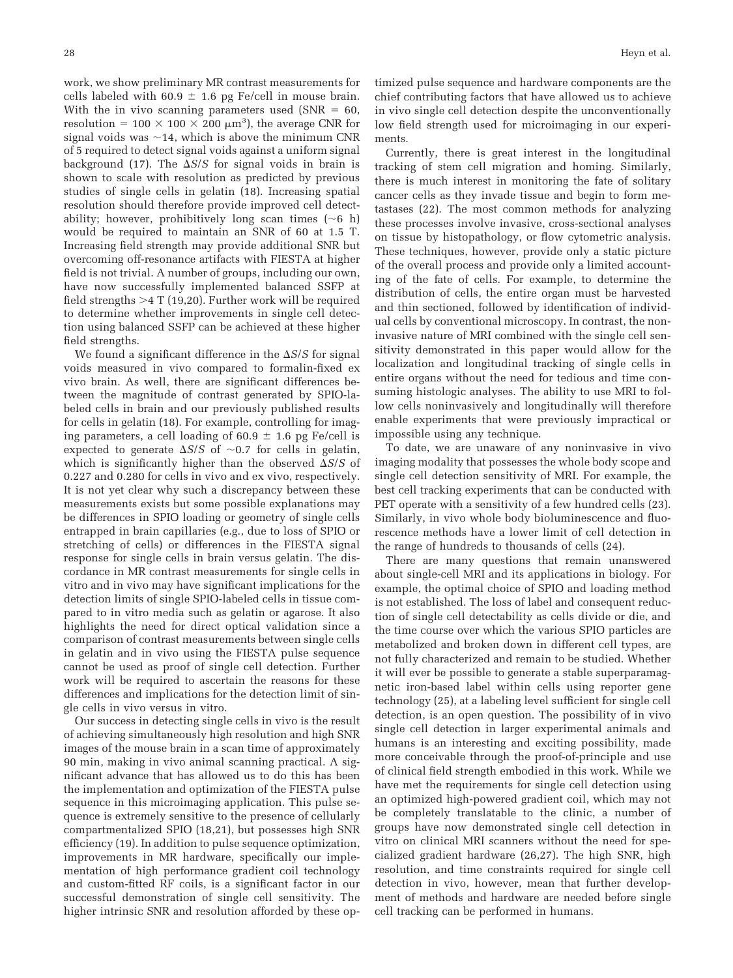work, we show preliminary MR contrast measurements for cells labeled with 60.9  $\pm$  1.6 pg Fe/cell in mouse brain. With the in vivo scanning parameters used  $(SNR = 60,$ resolution =  $100 \times 100 \times 200 \mu m^3$ , the average CNR for signal voids was  $\sim$ 14, which is above the minimum CNR of 5 required to detect signal voids against a uniform signal background (17). The  $\Delta S/S$  for signal voids in brain is shown to scale with resolution as predicted by previous studies of single cells in gelatin (18). Increasing spatial resolution should therefore provide improved cell detectability; however, prohibitively long scan times  $(\sim 6 \text{ h})$ would be required to maintain an SNR of 60 at 1.5 T. Increasing field strength may provide additional SNR but overcoming off-resonance artifacts with FIESTA at higher field is not trivial. A number of groups, including our own, have now successfully implemented balanced SSFP at field strengths 4 T (19,20). Further work will be required to determine whether improvements in single cell detection using balanced SSFP can be achieved at these higher field strengths.

We found a significant difference in the  $\Delta S/S$  for signal voids measured in vivo compared to formalin-fixed ex vivo brain. As well, there are significant differences between the magnitude of contrast generated by SPIO-labeled cells in brain and our previously published results for cells in gelatin (18). For example, controlling for imaging parameters, a cell loading of  $60.9 \pm 1.6$  pg Fe/cell is expected to generate  $\Delta S/S$  of  $\sim 0.7$  for cells in gelatin, which is significantly higher than the observed *S*/*S* of 0.227 and 0.280 for cells in vivo and ex vivo, respectively. It is not yet clear why such a discrepancy between these measurements exists but some possible explanations may be differences in SPIO loading or geometry of single cells entrapped in brain capillaries (e.g., due to loss of SPIO or stretching of cells) or differences in the FIESTA signal response for single cells in brain versus gelatin. The discordance in MR contrast measurements for single cells in vitro and in vivo may have significant implications for the detection limits of single SPIO-labeled cells in tissue compared to in vitro media such as gelatin or agarose. It also highlights the need for direct optical validation since a comparison of contrast measurements between single cells in gelatin and in vivo using the FIESTA pulse sequence cannot be used as proof of single cell detection. Further work will be required to ascertain the reasons for these differences and implications for the detection limit of single cells in vivo versus in vitro.

Our success in detecting single cells in vivo is the result of achieving simultaneously high resolution and high SNR images of the mouse brain in a scan time of approximately 90 min, making in vivo animal scanning practical. A significant advance that has allowed us to do this has been the implementation and optimization of the FIESTA pulse sequence in this microimaging application. This pulse sequence is extremely sensitive to the presence of cellularly compartmentalized SPIO (18,21), but possesses high SNR efficiency (19). In addition to pulse sequence optimization, improvements in MR hardware, specifically our implementation of high performance gradient coil technology and custom-fitted RF coils, is a significant factor in our successful demonstration of single cell sensitivity. The higher intrinsic SNR and resolution afforded by these optimized pulse sequence and hardware components are the chief contributing factors that have allowed us to achieve in vivo single cell detection despite the unconventionally low field strength used for microimaging in our experiments.

Currently, there is great interest in the longitudinal tracking of stem cell migration and homing. Similarly, there is much interest in monitoring the fate of solitary cancer cells as they invade tissue and begin to form metastases (22). The most common methods for analyzing these processes involve invasive, cross-sectional analyses on tissue by histopathology, or flow cytometric analysis. These techniques, however, provide only a static picture of the overall process and provide only a limited accounting of the fate of cells. For example, to determine the distribution of cells, the entire organ must be harvested and thin sectioned, followed by identification of individual cells by conventional microscopy. In contrast, the noninvasive nature of MRI combined with the single cell sensitivity demonstrated in this paper would allow for the localization and longitudinal tracking of single cells in entire organs without the need for tedious and time consuming histologic analyses. The ability to use MRI to follow cells noninvasively and longitudinally will therefore enable experiments that were previously impractical or impossible using any technique.

To date, we are unaware of any noninvasive in vivo imaging modality that possesses the whole body scope and single cell detection sensitivity of MRI. For example, the best cell tracking experiments that can be conducted with PET operate with a sensitivity of a few hundred cells (23). Similarly, in vivo whole body bioluminescence and fluorescence methods have a lower limit of cell detection in the range of hundreds to thousands of cells (24).

There are many questions that remain unanswered about single-cell MRI and its applications in biology. For example, the optimal choice of SPIO and loading method is not established. The loss of label and consequent reduction of single cell detectability as cells divide or die, and the time course over which the various SPIO particles are metabolized and broken down in different cell types, are not fully characterized and remain to be studied. Whether it will ever be possible to generate a stable superparamagnetic iron-based label within cells using reporter gene technology (25), at a labeling level sufficient for single cell detection, is an open question. The possibility of in vivo single cell detection in larger experimental animals and humans is an interesting and exciting possibility, made more conceivable through the proof-of-principle and use of clinical field strength embodied in this work. While we have met the requirements for single cell detection using an optimized high-powered gradient coil, which may not be completely translatable to the clinic, a number of groups have now demonstrated single cell detection in vitro on clinical MRI scanners without the need for specialized gradient hardware (26,27). The high SNR, high resolution, and time constraints required for single cell detection in vivo, however, mean that further development of methods and hardware are needed before single cell tracking can be performed in humans.